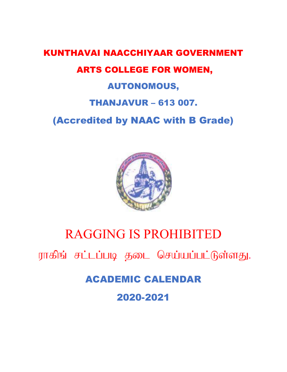## KUNTHAVAI NAACCHIYAAR GOVERNMENT ARTS COLLEGE FOR WOMEN, AUTONOMOUS, THANJAVUR  $-613007$ .

(Accredited by NAAC with B Grade)



## RAGGING IS PROHIBITED

ராகிங் சட்டப்படி தடை செய்யப்பட்டுள்ளது.

ACADEMIC CALENDAR

2020-2021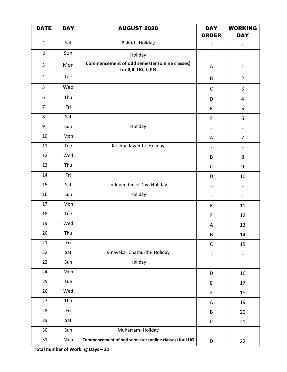| <b>DATE</b>    | <b>DAY</b> | <b>AUGUST 2020</b>                                                     | <b>DAY</b><br><b>ORDER</b>   | <b>WORKING</b><br><b>DAY</b> |
|----------------|------------|------------------------------------------------------------------------|------------------------------|------------------------------|
| $\mathbf{1}$   | Sat        | Bakrid - Holiday                                                       |                              |                              |
| $\overline{2}$ | Sun        | Holiday                                                                | $\overline{\phantom{a}}$     | $\qquad \qquad \blacksquare$ |
| 3              | Mon        | Commencement of odd semester (online classes)<br>for II, III UG, II PG | A                            | $\mathbf{1}$                 |
| 4              | Tue        |                                                                        | B                            | $\overline{2}$               |
| 5              | Wed        |                                                                        | $\mathsf C$                  | 3                            |
| 6              | Thu        |                                                                        | D                            | $\overline{4}$               |
| $\overline{7}$ | Fri        |                                                                        | $\mathsf E$                  | 5                            |
| 8              | Sat        |                                                                        | $\mathsf F$                  | 6                            |
| 9              | Sun        | Holiday                                                                | $\overline{\phantom{a}}$     | $\qquad \qquad \blacksquare$ |
| 10             | Mon        |                                                                        | A                            | $\overline{7}$               |
| 11             | Tue        | Krishna Jayanthi- Holiday                                              | $\overline{\phantom{0}}$     | $\qquad \qquad \blacksquare$ |
| 12             | Wed        |                                                                        | B                            | 8                            |
| 13             | Thu        |                                                                        | $\mathsf C$                  | 9                            |
| 14             | Fri        |                                                                        | D                            | 10                           |
| 15             | Sat        | Independence Day-Holiday                                               | $\blacksquare$               | $\qquad \qquad -$            |
| 16             | Sun        | Holiday                                                                | $\overline{\phantom{a}}$     | $\qquad \qquad \blacksquare$ |
| 17             | Mon        |                                                                        | E                            | 11                           |
| 18             | Tue        |                                                                        | $\mathsf F$                  | 12                           |
| 19             | Wed        |                                                                        | Α                            | 13                           |
| 20             | Thu        |                                                                        | B                            | 14                           |
| 21             | Fri        |                                                                        | $\mathsf{C}$                 | 15                           |
| 22             | Sat        | Vinayakar Chathurthi- Holiday                                          | $\qquad \qquad \blacksquare$ | $\qquad \qquad \blacksquare$ |
| 23             | Sun        | Holiday                                                                | $\overline{\phantom{a}}$     | $\overline{\phantom{0}}$     |
| 24             | Mon        |                                                                        | D                            | 16                           |
| 25             | Tue        |                                                                        | $\mathsf E$                  | 17                           |
| 26             | Wed        |                                                                        | $\mathsf F$                  | 18                           |
| 27             | Thu        |                                                                        | A                            | 19                           |
| 28             | Fri        |                                                                        | B                            | 20                           |
| 29             | Sat        |                                                                        | $\mathsf{C}$                 | 21                           |
| 30             | Sun        | Muharram-Holiday                                                       | $\blacksquare$               | $\overline{\phantom{a}}$     |
| $31\,$         | Mon        | Commencement of odd semester (online classes) for I UG                 | D                            | 22                           |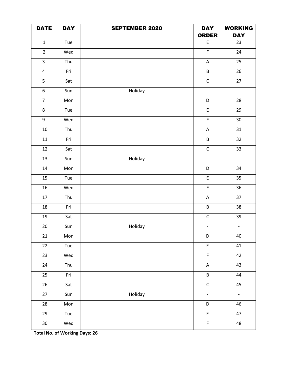| <b>DATE</b>             | <b>DAY</b> | <b>SEPTEMBER 2020</b> | <b>DAY</b>                                 | <b>WORKING</b>  |
|-------------------------|------------|-----------------------|--------------------------------------------|-----------------|
|                         |            |                       | <b>ORDER</b>                               | <b>DAY</b>      |
| $\mathbf{1}$            | Tue        |                       | $\mathsf E$                                | 23              |
| $\overline{2}$          | Wed        |                       | $\mathsf F$                                | 24              |
| $\mathbf{3}$            | Thu        |                       | $\mathsf A$                                | 25              |
| $\overline{\mathbf{4}}$ | Fri        |                       | $\sf B$                                    | 26              |
| 5                       | Sat        |                       | $\mathsf C$                                | 27              |
| $\boldsymbol{6}$        | Sun        | Holiday               | $\overline{\phantom{a}}$                   | $\Box$          |
| $\overline{7}$          | Mon        |                       | D                                          | 28              |
| $\bf 8$                 | Tue        |                       | $\mathsf E$                                | 29              |
| 9                       | Wed        |                       | F                                          | 30 <sub>o</sub> |
| $10\,$                  | Thu        |                       | ${\sf A}$                                  | 31              |
| $11\,$                  | Fri        |                       | $\sf B$                                    | 32              |
| $12\,$                  | Sat        |                       | $\mathsf C$                                | 33              |
| 13                      | Sun        | Holiday               | $\mathbb{L}$                               | $\Box$          |
| $14\,$                  | Mon        |                       | D                                          | 34              |
| 15                      | Tue        |                       | $\mathsf E$                                | 35              |
| $16\,$                  | Wed        |                       | $\mathsf F$                                | 36              |
| $17\,$                  | Thu        |                       | $\mathsf A$                                | 37              |
| 18                      | Fri        |                       | $\sf B$                                    | 38              |
| 19                      | Sat        |                       | $\mathsf C$                                | 39              |
| 20                      | Sun        | Holiday               | $\overline{\phantom{a}}$                   | $\Box$          |
| 21                      | Mon        |                       | D                                          | 40              |
| 22                      | Tue        |                       | $\mathsf{E}% _{0}\left( \mathsf{E}\right)$ | 41              |
| 23                      | Wed        |                       | $\mathsf F$                                | 42              |
| 24                      | Thu        |                       | $\mathsf A$                                | 43              |
| 25                      | Fri        |                       | B                                          | 44              |
| 26                      | Sat        |                       | $\mathsf{C}$                               | 45              |
| 27                      | Sun        | Holiday               | $\overline{\phantom{a}}$                   | $\mathbb{L}^+$  |
| 28                      | Mon        |                       | D                                          | 46              |
| 29                      | Tue        |                       | E                                          | 47              |
| $30\,$                  | Wed        |                       | $\mathsf F$                                | 48              |

**Total No. of Working Days: 26**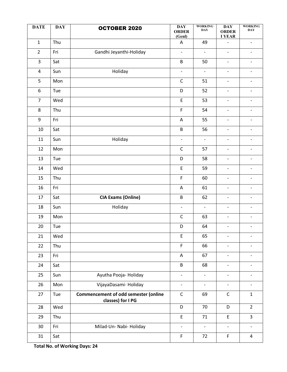| <b>DATE</b>             | <b>DAY</b> | <b>OCTOBER 2020</b>                                              | <b>DAY</b><br><b>ORDER</b><br>(Genl) | <b>WORKING</b><br><b>DAY</b> | $\mathbf{DAY}$<br><b>ORDER</b><br><b>I YEAR</b> | <b>WORKING</b><br><b>DAY</b> |
|-------------------------|------------|------------------------------------------------------------------|--------------------------------------|------------------------------|-------------------------------------------------|------------------------------|
| $\mathbf{1}$            | Thu        |                                                                  | A                                    | 49                           | $\overline{a}$                                  | $\overline{\phantom{a}}$     |
| $\overline{2}$          | Fri        | Gandhi Jeyanthi-Holiday                                          | $\overline{\phantom{0}}$             | $\overline{a}$               | $\overline{\phantom{a}}$                        | $\overline{\phantom{0}}$     |
| 3                       | Sat        |                                                                  | B                                    | 50                           | $\overline{\phantom{a}}$                        | $\overline{\phantom{0}}$     |
| $\overline{\mathbf{4}}$ | Sun        | Holiday                                                          | $\overline{\phantom{a}}$             | $\frac{1}{2}$                | $\overline{\phantom{a}}$                        | $\overline{\phantom{a}}$     |
| 5                       | Mon        |                                                                  | $\mathsf C$                          | 51                           | $\overline{\phantom{a}}$                        | $\overline{\phantom{0}}$     |
| 6                       | Tue        |                                                                  | D                                    | 52                           | $\overline{\phantom{a}}$                        | $\overline{\phantom{0}}$     |
| $\overline{7}$          | Wed        |                                                                  | $\mathsf E$                          | 53                           | $\overline{\phantom{a}}$                        | $\overline{\phantom{a}}$     |
| $\,8\,$                 | Thu        |                                                                  | F                                    | 54                           | $\overline{\phantom{a}}$                        | $\overline{\phantom{a}}$     |
| 9                       | Fri        |                                                                  | $\mathsf A$                          | 55                           | $\overline{\phantom{a}}$                        | $\qquad \qquad -$            |
| 10                      | Sat        |                                                                  | B                                    | 56                           | $\overline{\phantom{a}}$                        | $\overline{\phantom{a}}$     |
| 11                      | Sun        | Holiday                                                          | $\overline{\phantom{0}}$             | $\overline{\phantom{a}}$     | $\overline{\phantom{a}}$                        | $\overline{\phantom{a}}$     |
| 12                      | Mon        |                                                                  | $\mathsf C$                          | 57                           | $\overline{\phantom{a}}$                        | $\overline{\phantom{a}}$     |
| 13                      | Tue        |                                                                  | D                                    | 58                           | $\overline{\phantom{a}}$                        | $\overline{\phantom{0}}$     |
| 14                      | Wed        |                                                                  | $\mathsf E$                          | 59                           | $\overline{\phantom{a}}$                        | $\overline{\phantom{a}}$     |
| 15                      | Thu        |                                                                  | F                                    | 60                           | $\overline{\phantom{a}}$                        | $\overline{\phantom{a}}$     |
| 16                      | Fri        |                                                                  | A                                    | 61                           | $\overline{\phantom{a}}$                        | $\qquad \qquad -$            |
| 17                      | Sat        | <b>CIA Exams (Online)</b>                                        | B                                    | 62                           | $\overline{\phantom{a}}$                        | $\overline{\phantom{0}}$     |
| 18                      | Sun        | Holiday                                                          | $\blacksquare$                       | $\overline{a}$               | $\overline{\phantom{a}}$                        | $\overline{\phantom{a}}$     |
| 19                      | Mon        |                                                                  | C                                    | 63                           | $\overline{\phantom{a}}$                        | $\qquad \qquad -$            |
| 20                      | Tue        |                                                                  | D                                    | 64                           | $\overline{\phantom{a}}$                        | $\overline{\phantom{0}}$     |
| 21                      | Wed        |                                                                  | $\mathsf E$                          | 65                           | $\overline{\phantom{a}}$                        | $\overline{\phantom{a}}$     |
| 22                      | Thu        |                                                                  | F.                                   | 66                           | $\overline{\phantom{a}}$                        | $\overline{\phantom{0}}$     |
| 23                      | Fri        |                                                                  | A                                    | 67                           | $\overline{\phantom{a}}$                        | -                            |
| 24                      | Sat        |                                                                  | B                                    | 68                           | $\blacksquare$                                  | $\overline{\phantom{0}}$     |
| 25                      | Sun        | Ayutha Pooja-Holiday                                             | $\overline{\phantom{a}}$             | $\overline{a}$               | $\overline{\phantom{a}}$                        | $\overline{\phantom{0}}$     |
| 26                      | Mon        | VijayaDasami-Holiday                                             | $\overline{\phantom{a}}$             | $\overline{\phantom{a}}$     | $\overline{\phantom{a}}$                        | $\overline{\phantom{a}}$     |
| 27                      | Tue        | <b>Commencement of odd semester (online</b><br>classes) for I PG | $\mathsf{C}$                         | 69                           | $\mathsf C$                                     | $\mathbf{1}$                 |
| 28                      | Wed        |                                                                  | D                                    | 70                           | D                                               | $2^{\circ}$                  |
| 29                      | Thu        |                                                                  | E                                    | 71                           | E                                               | $\overline{3}$               |
| 30                      | Fri        | Milad-Un- Nabi- Holiday                                          | $\overline{\phantom{a}}$             | $\blacksquare$               | $\overline{\phantom{a}}$                        | $\overline{\phantom{a}}$     |
| 31                      | Sat        |                                                                  | F.                                   | 72                           | $\mathsf F$                                     | 4                            |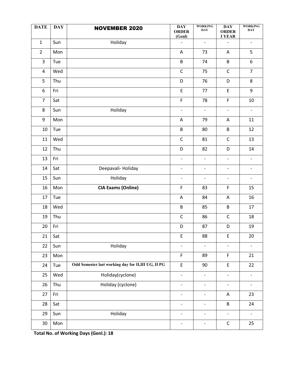| <b>DATE</b>             | <b>DAY</b> | <b>NOVEMBER 2020</b>                                | <b>DAY</b><br><b>ORDER</b><br>(Genl) | <b>WORKING</b><br><b>DAY</b> | $\overline{DAY}$<br><b>ORDER</b><br><b>I YEAR</b> | <b>WORKING</b><br><b>DAY</b> |
|-------------------------|------------|-----------------------------------------------------|--------------------------------------|------------------------------|---------------------------------------------------|------------------------------|
| $\mathbf{1}$            | Sun        | Holiday                                             | $\overline{a}$                       | $\overline{\phantom{a}}$     |                                                   | $\overline{\phantom{a}}$     |
| $\overline{2}$          | Mon        |                                                     | $\overline{\mathsf{A}}$              | 73                           | $\mathsf A$                                       | 5                            |
| 3                       | Tue        |                                                     | $\sf B$                              | 74                           | B                                                 | 6                            |
| $\overline{\mathbf{4}}$ | Wed        |                                                     | $\mathsf C$                          | 75                           | $\mathsf{C}$                                      | $\overline{7}$               |
| 5                       | Thu        |                                                     | D                                    | 76                           | D                                                 | 8                            |
| 6                       | Fri        |                                                     | E                                    | 77                           | E                                                 | 9                            |
| $\overline{7}$          | Sat        |                                                     | $\mathsf F$                          | 78                           | F                                                 | $10\,$                       |
| 8                       | Sun        | Holiday                                             | $\blacksquare$                       | $\overline{\phantom{a}}$     | $\overline{\phantom{a}}$                          | $\overline{\phantom{a}}$     |
| 9                       | Mon        |                                                     | Α                                    | 79                           | A                                                 | 11                           |
| $10\,$                  | Tue        |                                                     | $\sf B$                              | 80                           | B                                                 | 12                           |
| 11                      | Wed        |                                                     | $\mathsf C$                          | 81                           | $\mathsf C$                                       | 13                           |
| 12                      | Thu        |                                                     | D                                    | 82                           | D                                                 | 14                           |
| 13                      | Fri        |                                                     | $\overline{\phantom{a}}$             | $\overline{\phantom{a}}$     | $\overline{\phantom{a}}$                          | $\overline{\phantom{a}}$     |
| 14                      | Sat        | Deepavali-Holiday                                   | $\overline{\phantom{a}}$             | $\overline{\phantom{a}}$     | $\overline{\phantom{a}}$                          | $\overline{\phantom{a}}$     |
| 15                      | Sun        | Holiday                                             | $\overline{\phantom{a}}$             | $\overline{\phantom{a}}$     | $\overline{\phantom{a}}$                          | $\overline{\phantom{a}}$     |
| 16                      | Mon        | <b>CIA Exams (Online)</b>                           | $\mathsf F$                          | 83                           | F                                                 | 15                           |
| 17                      | Tue        |                                                     | A                                    | 84                           | A                                                 | 16                           |
| 18                      | Wed        |                                                     | B                                    | 85                           | B                                                 | 17                           |
| 19                      | Thu        |                                                     | $\mathsf C$                          | 86                           | $\mathsf C$                                       | 18                           |
| 20                      | Fri        |                                                     | D                                    | 87                           | D                                                 | 19                           |
| 21                      | Sat        |                                                     | Ε                                    | 88                           | E                                                 | 20                           |
| 22                      | Sun        | Holiday                                             | $\blacksquare$                       | $\overline{\phantom{a}}$     | $\overline{\phantom{a}}$                          | $\overline{\phantom{a}}$     |
| 23                      | Mon        |                                                     | F                                    | 89                           | F                                                 | 21                           |
| 24                      | Tue        | Odd Semester last working day for II, III UG, II PG | $\mathsf E$                          | 90                           | E                                                 | 22                           |
| 25                      | Wed        | Holiday(cyclone)                                    | $\overline{\phantom{a}}$             | $\overline{\phantom{a}}$     | $\overline{\phantom{a}}$                          | $\overline{\phantom{0}}$     |
| 26                      | Thu        | Holiday (cyclone)                                   | $\overline{\phantom{a}}$             | $\overline{\phantom{a}}$     | $\blacksquare$                                    | $\overline{\phantom{a}}$     |
| 27                      | Fri        |                                                     | $\blacksquare$                       | $\overline{\phantom{a}}$     | A                                                 | 23                           |
| 28                      | Sat        |                                                     | $\overline{\phantom{a}}$             | $\overline{\phantom{a}}$     | B                                                 | 24                           |
| 29                      | Sun        | Holiday                                             | $\overline{\phantom{a}}$             | $\overline{\phantom{a}}$     | $\overline{\phantom{a}}$                          | $\blacksquare$               |
| 30                      | Mon        |                                                     | $\overline{\phantom{a}}$             | $\overline{\phantom{a}}$     | $\mathsf C$                                       | 25                           |

**Total No. of Working Days (Genl.): 18**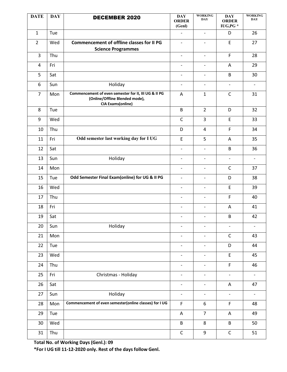| <b>DATE</b>    | <b>DAY</b> | <b>DECEMBER 2020</b>                                                                                               | $\mathbf{DAY}$<br><b>ORDER</b><br>(Genl) | <b>WORKING</b><br><b>DAY</b> | <b>DAY</b><br><b>ORDER</b><br>IUG, PG * | <b>WORKING</b><br><b>DAY</b> |
|----------------|------------|--------------------------------------------------------------------------------------------------------------------|------------------------------------------|------------------------------|-----------------------------------------|------------------------------|
| $\mathbf{1}$   | Tue        |                                                                                                                    |                                          | $\overline{\phantom{a}}$     | D                                       | 26                           |
| $\overline{2}$ | Wed        | <b>Commencement of offline classes for II PG</b><br><b>Science Programmes</b>                                      | $\overline{\phantom{a}}$                 | $\overline{\phantom{0}}$     | $\mathsf E$                             | 27                           |
| 3              | Thu        |                                                                                                                    | $\overline{\phantom{0}}$                 | $\overline{\phantom{a}}$     | $\mathsf F$                             | 28                           |
| 4              | Fri        |                                                                                                                    | $\overline{\phantom{a}}$                 | $\overline{\phantom{0}}$     | A                                       | 29                           |
| 5              | Sat        |                                                                                                                    | $\overline{a}$                           | $\overline{\phantom{0}}$     | B                                       | 30                           |
| 6              | Sun        | Holiday                                                                                                            | $\overline{\phantom{0}}$                 | $\overline{\phantom{a}}$     | $\overline{\phantom{a}}$                | $\blacksquare$               |
| $\overline{7}$ | Mon        | Commencement of even semester for II, III UG & II PG<br>(Online/Offline Blended mode),<br><b>CIA Exams(online)</b> | A                                        | $\mathbf{1}$                 | $\mathsf C$                             | 31                           |
| 8              | Tue        |                                                                                                                    | B                                        | $\overline{2}$               | D                                       | 32                           |
| 9              | Wed        |                                                                                                                    | $\mathsf{C}$                             | $\overline{3}$               | $\mathsf E$                             | 33                           |
| 10             | Thu        |                                                                                                                    | D                                        | 4                            | $\mathsf F$                             | 34                           |
| 11             | Fri        | Odd semester last working day for I UG                                                                             | $\mathsf E$                              | 5                            | A                                       | 35                           |
| 12             | Sat        |                                                                                                                    | $\overline{\phantom{0}}$                 | $\overline{\phantom{a}}$     | B                                       | 36                           |
| 13             | Sun        | Holiday                                                                                                            | $\overline{\phantom{a}}$                 | $\overline{\phantom{a}}$     | $\overline{\phantom{a}}$                | $\overline{\phantom{a}}$     |
| 14             | Mon        |                                                                                                                    | $\overline{\phantom{a}}$                 | $\overline{\phantom{a}}$     | $\mathsf{C}$                            | 37                           |
| 15             | Tue        | Odd Semester Final Exam(online) for UG & II PG                                                                     | $\overline{\phantom{a}}$                 | $\overline{\phantom{0}}$     | D                                       | 38                           |
| 16             | Wed        |                                                                                                                    | $\overline{a}$                           | $\overline{\phantom{0}}$     | $\mathsf E$                             | 39                           |
| 17             | Thu        |                                                                                                                    | $\overline{\phantom{0}}$                 | $\overline{\phantom{0}}$     | F                                       | 40                           |
| 18             | Fri        |                                                                                                                    | $\overline{a}$                           | $\overline{\phantom{0}}$     | A                                       | 41                           |
| 19             | Sat        |                                                                                                                    | $\overline{a}$                           | $\overline{\phantom{0}}$     | B                                       | 42                           |
| 20             | Sun        | Holiday                                                                                                            | $\overline{\phantom{a}}$                 | $\overline{\phantom{a}}$     | $\overline{\phantom{a}}$                | $\overline{\phantom{a}}$     |
| 21             | Mon        |                                                                                                                    | $\overline{\phantom{0}}$                 | $\overline{\phantom{a}}$     | $\mathsf{C}$                            | 43                           |
| 22             | Tue        |                                                                                                                    | $\overline{\phantom{a}}$                 | $\overline{\phantom{0}}$     | D                                       | 44                           |
| 23             | Wed        |                                                                                                                    | $\overline{a}$                           | $\overline{\phantom{a}}$     | $\mathsf{E}$                            | 45                           |
| 24             | Thu        |                                                                                                                    | $\overline{\phantom{a}}$                 | $\overline{\phantom{a}}$     | F                                       | 46                           |
| 25             | Fri        | Christmas - Holiday                                                                                                | $\overline{\phantom{0}}$                 | $\overline{\phantom{a}}$     | $\overline{\phantom{a}}$                | $\overline{\phantom{a}}$     |
| 26             | Sat        |                                                                                                                    | $\overline{\phantom{0}}$                 | $\overline{\phantom{a}}$     | A                                       | 47                           |
| 27             | Sun        | Holiday                                                                                                            | $\overline{\phantom{a}}$                 | $\overline{\phantom{0}}$     | $\overline{\phantom{0}}$                | $\overline{\phantom{a}}$     |
| 28             | Mon        | Commencement of even semester(online classes) for I UG                                                             | $\mathsf F$                              | 6                            | F                                       | 48                           |
| 29             | Tue        |                                                                                                                    | A                                        | $\overline{7}$               | A                                       | 49                           |
| 30             | Wed        |                                                                                                                    | B                                        | 8                            | B                                       | 50                           |
| 31             | Thu        |                                                                                                                    | $\mathsf C$                              | 9                            | $\mathsf{C}$                            | 51                           |

**Total No. of Working Days (Genl.): 09** 

**\*For I UG till 11-12-2020 only. Rest of the days follow Genl.**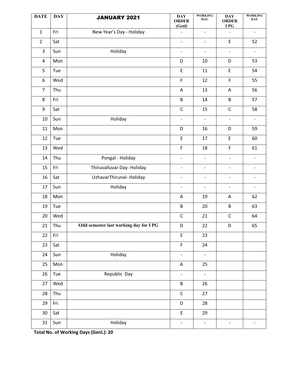| <b>DATE</b>    | <b>DAY</b> | <b>JANUARY 2021</b>                    | $\mathbf{DAY}$<br><b>ORDER</b><br>(Genl) | <b>WORKING</b><br><b>DAY</b> | <b>DAY</b><br><b>ORDER</b><br>I PG | <b>WORKING</b><br><b>DAY</b> |
|----------------|------------|----------------------------------------|------------------------------------------|------------------------------|------------------------------------|------------------------------|
| $\mathbf{1}$   | Fri        | New Year's Day - Holiday               |                                          | $\overline{\phantom{0}}$     | $\overline{\phantom{0}}$           | $\qquad \qquad -$            |
| $\overline{2}$ | Sat        |                                        | $\overline{\phantom{a}}$                 | $\qquad \qquad -$            | E                                  | 52                           |
| $\overline{3}$ | Sun        | Holiday                                | $\overline{\phantom{a}}$                 | $\blacksquare$               | $\blacksquare$                     | $\overline{\phantom{a}}$     |
| $\overline{4}$ | Mon        |                                        | D                                        | 10                           | D                                  | 53                           |
| 5              | Tue        |                                        | $\mathsf E$                              | 11                           | $\mathsf E$                        | 54                           |
| 6              | Wed        |                                        | $\overline{F}$                           | 12                           | F                                  | 55                           |
| $\overline{7}$ | Thu        |                                        | A                                        | 13                           | A                                  | 56                           |
| 8              | Fri        |                                        | B                                        | 14                           | B                                  | 57                           |
| 9              | Sat        |                                        | $\mathsf C$                              | 15                           | $\mathsf C$                        | 58                           |
| 10             | Sun        | Holiday                                | $\overline{\phantom{a}}$                 | $\overline{\phantom{a}}$     | $\overline{\phantom{a}}$           | $\overline{\phantom{a}}$     |
| 11             | Mon        |                                        | D                                        | 16                           | D                                  | 59                           |
| 12             | Tue        |                                        | E                                        | 17                           | $\mathsf E$                        | 60                           |
| 13             | Wed        |                                        | F                                        | 18                           | F                                  | 61                           |
| 14             | Thu        | Pongal - Holiday                       | $\overline{\phantom{a}}$                 | $\overline{\phantom{a}}$     | $\overline{\phantom{a}}$           | $\overline{\phantom{a}}$     |
| 15             | Fri        | Thiruvalluvar Day-Holiday              | $\overline{\phantom{a}}$                 | $\overline{a}$               | $\overline{\phantom{a}}$           | $\overline{\phantom{a}}$     |
| 16             | Sat        | UzhavarThirunal-Holiday                | $\overline{\phantom{a}}$                 | $\overline{\phantom{a}}$     | $\overline{\phantom{a}}$           | $\overline{\phantom{0}}$     |
| 17             | Sun        | Holiday                                | $\overline{\phantom{a}}$                 | $\overline{\phantom{a}}$     | $\overline{\phantom{a}}$           | $\overline{\phantom{a}}$     |
| 18             | Mon        |                                        | Α                                        | 19                           | A                                  | 62                           |
| 19             | Tue        |                                        | B                                        | 20                           | $\sf B$                            | 63                           |
| 20             | Wed        |                                        | $\mathsf{C}$                             | 21                           | $\mathsf C$                        | 64                           |
| 21             | Thu        | Odd semester last working day for I PG | D                                        | 22                           | D                                  | 65                           |
| 22             | Fri        |                                        | $\mathsf E$                              | 23                           |                                    |                              |
| 23             | Sat        |                                        | F                                        | 24                           |                                    |                              |
| 24             | Sun        | Holiday                                | $\overline{\phantom{a}}$                 | $\overline{\phantom{a}}$     |                                    |                              |
| 25             | Mon        |                                        | A                                        | 25                           |                                    |                              |
| 26             | Tue        | Republic Day                           | $\overline{\phantom{a}}$                 | $\blacksquare$               |                                    |                              |
| 27             | Wed        |                                        | B                                        | 26                           |                                    |                              |
| 28             | Thu        |                                        | $\mathsf C$                              | 27                           |                                    |                              |
| 29             | Fri        |                                        | $\mathsf D$                              | 28                           |                                    |                              |
| $30\,$         | Sat        |                                        | $\mathsf E$                              | 29                           |                                    |                              |
| 31             | Sun        | Holiday                                | $\overline{\phantom{a}}$                 | $\overline{\phantom{0}}$     | $\overline{\phantom{0}}$           | $\overline{\phantom{a}}$     |

**Total No. of Working Days (Genl.): 20**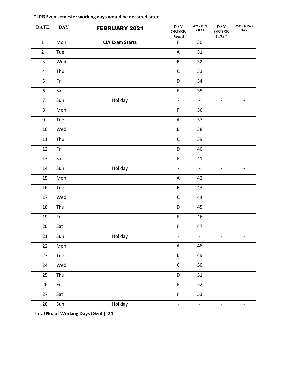| <b>DATE</b>             | <b>DAY</b> | <b>FEBRUARY 2021</b>   | <b>DAY</b><br><b>ORDER</b><br>(Genl)       | <b>WORKIN</b><br><b>GDAY</b> | $\mathbf{DAY}$<br><b>ORDER</b><br>I PG $^\star$ | <b>WORKING</b><br>$\mathbf{DAY}$ |
|-------------------------|------------|------------------------|--------------------------------------------|------------------------------|-------------------------------------------------|----------------------------------|
| $\mathbf{1}$            | Mon        | <b>CIA Exam Starts</b> | $\mathsf F$                                | 30                           |                                                 |                                  |
| $\overline{2}$          | Tue        |                        | A                                          | 31                           |                                                 |                                  |
| 3                       | Wed        |                        | B                                          | 32                           |                                                 |                                  |
| $\overline{\mathbf{4}}$ | Thu        |                        | $\mathsf C$                                | 33                           |                                                 |                                  |
| 5                       | Fri        |                        | D                                          | 34                           |                                                 |                                  |
| 6                       | Sat        |                        | $\mathsf E$                                | 35                           |                                                 |                                  |
| $\overline{7}$          | Sun        | Holiday                | $\overline{\phantom{0}}$                   | $\overline{\phantom{a}}$     | $\blacksquare$                                  | $\overline{\phantom{0}}$         |
| 8                       | Mon        |                        | $\mathsf F$                                | 36                           |                                                 |                                  |
| 9                       | Tue        |                        | A                                          | 37                           |                                                 |                                  |
| 10                      | Wed        |                        | B                                          | 38                           |                                                 |                                  |
| 11                      | Thu        |                        | $\mathsf C$                                | 39                           |                                                 |                                  |
| 12                      | Fri        |                        | D                                          | 40                           |                                                 |                                  |
| 13                      | Sat        |                        | $\mathsf{E}% _{0}\left( \mathsf{E}\right)$ | 41                           |                                                 |                                  |
| 14                      | Sun        | Holiday                | $\qquad \qquad -$                          | $\overline{\phantom{a}}$     | $\blacksquare$                                  | $\overline{\phantom{0}}$         |
| 15                      | Mon        |                        | Α                                          | 42                           |                                                 |                                  |
| 16                      | Tue        |                        | B                                          | 43                           |                                                 |                                  |
| 17                      | Wed        |                        | $\mathsf C$                                | 44                           |                                                 |                                  |
| 18                      | Thu        |                        | D                                          | 45                           |                                                 |                                  |
| 19                      | Fri        |                        | $\mathsf E$                                | 46                           |                                                 |                                  |
| 20                      | Sat        |                        | $\mathsf F$                                | 47                           |                                                 |                                  |
| 21                      | Sun        | Holiday                | $\overline{\phantom{a}}$                   | $\overline{\phantom{a}}$     | $\overline{\phantom{a}}$                        | $\overline{\phantom{a}}$         |
| 22                      | Mon        |                        | A                                          | 48                           |                                                 |                                  |
| 23                      | Tue        |                        | B                                          | 49                           |                                                 |                                  |
| 24                      | Wed        |                        | $\mathsf C$                                | 50                           |                                                 |                                  |
| 25                      | Thu        |                        | D                                          | 51                           |                                                 |                                  |
| 26                      | Fri        |                        | $\mathsf{E}% _{0}\left( \mathsf{E}\right)$ | 52                           |                                                 |                                  |
| 27                      | Sat        |                        | $\overline{F}$                             | 53                           |                                                 |                                  |
| 28                      | Sun        | Holiday                | $\overline{\phantom{0}}$                   | $\blacksquare$               | $\qquad \qquad \blacksquare$                    | $\overline{\phantom{0}}$         |

## **\*I PG Even semester working days would be declared later.**

**Total No. of Working Days (Genl.): 24**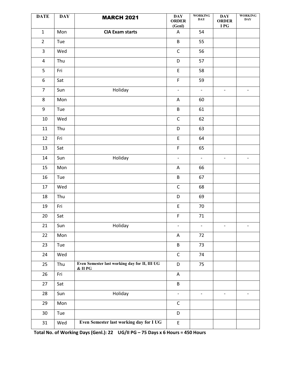| <b>DATE</b>             | <b>DAY</b> | <b>MARCH 2021</b>                                          | <b>DAY</b><br><b>ORDER</b><br>(Genl) | <b>WORKING</b><br><b>DAY</b> | $\mathbf{DAY}$<br><b>ORDER</b><br>I PG | <b>WORKING</b><br><b>DAY</b> |
|-------------------------|------------|------------------------------------------------------------|--------------------------------------|------------------------------|----------------------------------------|------------------------------|
| $\mathbf{1}$            | Mon        | <b>CIA Exam starts</b>                                     | A                                    | 54                           |                                        |                              |
| $\overline{2}$          | Tue        |                                                            | B                                    | 55                           |                                        |                              |
| 3                       | Wed        |                                                            | $\mathsf C$                          | 56                           |                                        |                              |
| $\overline{\mathbf{4}}$ | Thu        |                                                            | D                                    | 57                           |                                        |                              |
| 5                       | Fri        |                                                            | $\mathsf E$                          | 58                           |                                        |                              |
| 6                       | Sat        |                                                            | $\mathsf F$                          | 59                           |                                        |                              |
| $\overline{7}$          | Sun        | Holiday                                                    | $\overline{\phantom{a}}$             | $\blacksquare$               | $\overline{\phantom{a}}$               | $\overline{\phantom{a}}$     |
| 8                       | Mon        |                                                            | Α                                    | 60                           |                                        |                              |
| 9                       | Tue        |                                                            | B                                    | 61                           |                                        |                              |
| 10                      | Wed        |                                                            | $\mathsf C$                          | 62                           |                                        |                              |
| $11\,$                  | Thu        |                                                            | D                                    | 63                           |                                        |                              |
| 12                      | Fri        |                                                            | $\mathsf E$                          | 64                           |                                        |                              |
| 13                      | Sat        |                                                            | $\mathsf F$                          | 65                           |                                        |                              |
| 14                      | Sun        | Holiday                                                    | $\overline{\phantom{a}}$             | $\overline{\phantom{a}}$     | $\overline{\phantom{a}}$               | $\overline{\phantom{a}}$     |
| 15                      | Mon        |                                                            | A                                    | 66                           |                                        |                              |
| 16                      | Tue        |                                                            | $\sf B$                              | 67                           |                                        |                              |
| 17                      | Wed        |                                                            | $\mathsf C$                          | 68                           |                                        |                              |
| 18                      | Thu        |                                                            | D                                    | 69                           |                                        |                              |
| 19                      | Fri        |                                                            | $\mathsf E$                          | 70                           |                                        |                              |
| 20                      | Sat        |                                                            | $\mathsf F$                          | $71\,$                       |                                        |                              |
| 21                      | Sun        | Holiday                                                    | $\overline{\phantom{a}}$             | $\overline{\phantom{a}}$     | $\overline{\phantom{a}}$               | $\overline{\phantom{a}}$     |
| 22                      | Mon        |                                                            | A                                    | 72                           |                                        |                              |
| 23                      | Tue        |                                                            | $\sf B$                              | 73                           |                                        |                              |
| 24                      | Wed        |                                                            | $\mathsf C$                          | 74                           |                                        |                              |
| 25                      | Thu        | Even Semester last working day for II, III UG<br>$&$ II PG | D                                    | 75                           |                                        |                              |
| 26                      | Fri        |                                                            | $\mathsf A$                          |                              |                                        |                              |
| 27                      | Sat        |                                                            | B                                    |                              |                                        |                              |
| 28                      | Sun        | Holiday                                                    | $\overline{\phantom{a}}$             | $\overline{\phantom{a}}$     | $\overline{\phantom{a}}$               | $\overline{\phantom{a}}$     |
| 29                      | Mon        |                                                            | $\mathsf C$                          |                              |                                        |                              |
| 30                      | Tue        |                                                            | D                                    |                              |                                        |                              |
| 31                      | Wed        | Even Semester last working day for I UG                    | $\mathsf E$                          |                              |                                        |                              |

Total No. of Working Days (Genl.): 22 UG/II PG - 75 Days x 6 Hours = 450 Hours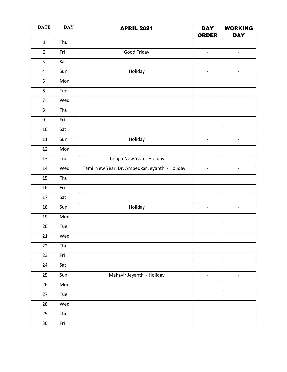| <b>DATE</b>             | <b>DAY</b> | <b>APRIL 2021</b>                               | <b>DAY</b><br><b>ORDER</b> | <b>WORKING</b><br><b>DAY</b> |
|-------------------------|------------|-------------------------------------------------|----------------------------|------------------------------|
| $\mathbf 1$             | Thu        |                                                 |                            |                              |
| $\overline{2}$          | Fri        | Good Friday                                     | $\overline{\phantom{a}}$   | $\overline{\phantom{0}}$     |
| 3                       | Sat        |                                                 |                            |                              |
| $\overline{\mathbf{4}}$ | Sun        | Holiday                                         | $\overline{\phantom{a}}$   | $\overline{\phantom{a}}$     |
| 5                       | Mon        |                                                 |                            |                              |
| $\boldsymbol{6}$        | Tue        |                                                 |                            |                              |
| $\overline{7}$          | Wed        |                                                 |                            |                              |
| $\bf 8$                 | Thu        |                                                 |                            |                              |
| 9                       | Fri        |                                                 |                            |                              |
| $10\,$                  | Sat        |                                                 |                            |                              |
| 11                      | Sun        | Holiday                                         | $\overline{\phantom{a}}$   |                              |
| 12                      | Mon        |                                                 |                            |                              |
| 13                      | Tue        | Telugu New Year - Holiday                       | $\blacksquare$             | $\overline{\phantom{a}}$     |
| 14                      | Wed        | Tamil New Year, Dr. Ambedkar Jeyanthi - Holiday | $\overline{\phantom{a}}$   | $\qquad \qquad -$            |
| 15                      | Thu        |                                                 |                            |                              |
| 16                      | Fri        |                                                 |                            |                              |
| $17\,$                  | Sat        |                                                 |                            |                              |
| 18                      | Sun        | Holiday                                         | $\overline{\phantom{a}}$   | $\overline{a}$               |
| 19                      | Mon        |                                                 |                            |                              |
| 20                      | Tue        |                                                 |                            |                              |
| 21                      | Wed        |                                                 |                            |                              |
| 22                      | Thu        |                                                 |                            |                              |
| 23                      | Fri        |                                                 |                            |                              |
| 24                      | Sat        |                                                 |                            |                              |
| 25                      | Sun        | Mahavir Jeyanthi - Holiday                      | $\overline{\phantom{a}}$   | -                            |
| 26                      | Mon        |                                                 |                            |                              |
| 27                      | Tue        |                                                 |                            |                              |
| 28                      | Wed        |                                                 |                            |                              |
| 29                      | Thu        |                                                 |                            |                              |
| $30\,$                  | Fri        |                                                 |                            |                              |